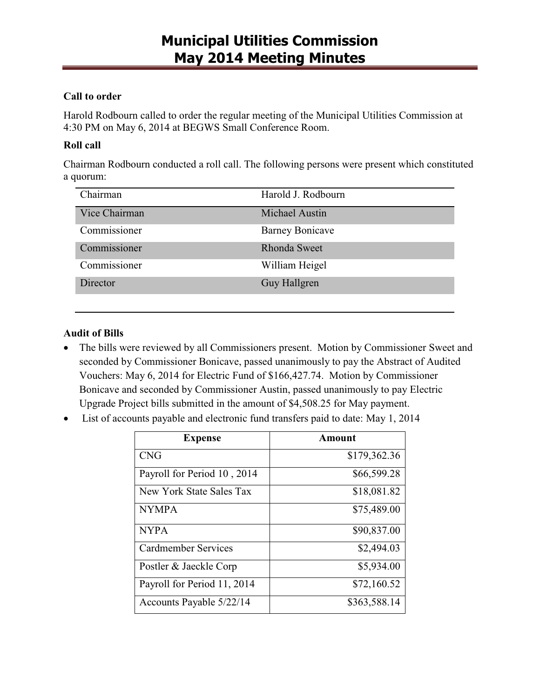#### **Call to order**

Harold Rodbourn called to order the regular meeting of the Municipal Utilities Commission at 4:30 PM on May 6, 2014 at BEGWS Small Conference Room.

#### **Roll call**

Chairman Rodbourn conducted a roll call. The following persons were present which constituted a quorum:

| Chairman        | Harold J. Rodbourn     |
|-----------------|------------------------|
| Vice Chairman   | <b>Michael Austin</b>  |
| Commissioner    | <b>Barney Bonicave</b> |
| Commissioner    | Rhonda Sweet           |
| Commissioner    | William Heigel         |
| <b>Director</b> | Guy Hallgren           |

#### **Audit of Bills**

- The bills were reviewed by all Commissioners present. Motion by Commissioner Sweet and seconded by Commissioner Bonicave, passed unanimously to pay the Abstract of Audited Vouchers: May 6, 2014 for Electric Fund of \$166,427.74. Motion by Commissioner Bonicave and seconded by Commissioner Austin, passed unanimously to pay Electric Upgrade Project bills submitted in the amount of \$4,508.25 for May payment.
- · List of accounts payable and electronic fund transfers paid to date: May 1, 2014

| <b>Expense</b>              | Amount       |
|-----------------------------|--------------|
| <b>CNG</b>                  | \$179,362.36 |
| Payroll for Period 10, 2014 | \$66,599.28  |
| New York State Sales Tax    | \$18,081.82  |
| <b>NYMPA</b>                | \$75,489.00  |
| <b>NYPA</b>                 | \$90,837.00  |
| <b>Cardmember Services</b>  | \$2,494.03   |
| Postler & Jaeckle Corp      | \$5,934.00   |
| Payroll for Period 11, 2014 | \$72,160.52  |
| Accounts Payable 5/22/14    | \$363,588.14 |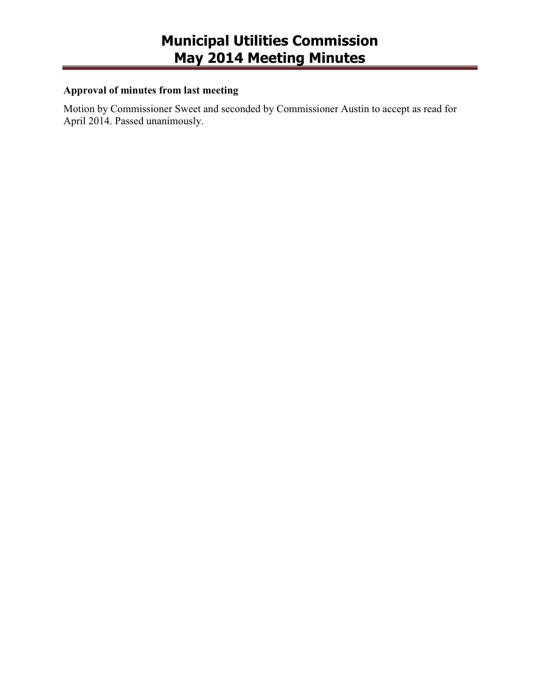### **Approval of minutes from last meeting**

Motion by Commissioner Sweet and seconded by Commissioner Austin to accept as read for April 2014. Passed unanimously.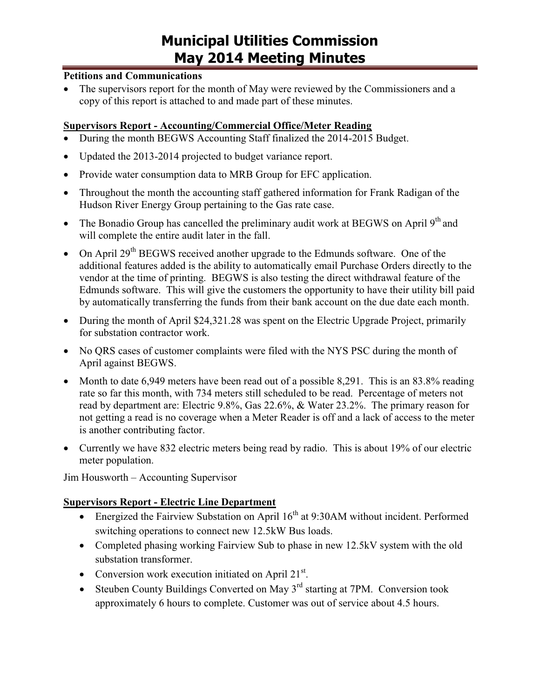#### **Petitions and Communications**

The supervisors report for the month of May were reviewed by the Commissioners and a copy of this report is attached to and made part of these minutes.

#### **Supervisors Report - Accounting/Commercial Office/Meter Reading**

- · During the month BEGWS Accounting Staff finalized the 2014-2015 Budget.
- Updated the 2013-2014 projected to budget variance report.
- Provide water consumption data to MRB Group for EFC application.
- · Throughout the month the accounting staff gathered information for Frank Radigan of the Hudson River Energy Group pertaining to the Gas rate case.
- The Bonadio Group has cancelled the preliminary audit work at BEGWS on April  $9<sup>th</sup>$  and will complete the entire audit later in the fall.
- On April  $29<sup>th</sup>$  BEGWS received another upgrade to the Edmunds software. One of the additional features added is the ability to automatically email Purchase Orders directly to the vendor at the time of printing. BEGWS is also testing the direct withdrawal feature of the Edmunds software. This will give the customers the opportunity to have their utility bill paid by automatically transferring the funds from their bank account on the due date each month.
- During the month of April \$24,321.28 was spent on the Electric Upgrade Project, primarily for substation contractor work.
- No QRS cases of customer complaints were filed with the NYS PSC during the month of April against BEGWS.
- Month to date 6,949 meters have been read out of a possible 8,291. This is an 83.8% reading rate so far this month, with 734 meters still scheduled to be read. Percentage of meters not read by department are: Electric 9.8%, Gas 22.6%, & Water 23.2%. The primary reason for not getting a read is no coverage when a Meter Reader is off and a lack of access to the meter is another contributing factor.
- Currently we have 832 electric meters being read by radio. This is about 19% of our electric meter population.

Jim Housworth – Accounting Supervisor

#### **Supervisors Report - Electric Line Department**

- Energized the Fairview Substation on April  $16<sup>th</sup>$  at 9:30AM without incident. Performed switching operations to connect new 12.5kW Bus loads.
- Completed phasing working Fairview Sub to phase in new 12.5kV system with the old substation transformer.
- Conversion work execution initiated on April  $21^{st}$ .
- Steuben County Buildings Converted on May  $3<sup>rd</sup>$  starting at 7PM. Conversion took approximately 6 hours to complete. Customer was out of service about 4.5 hours.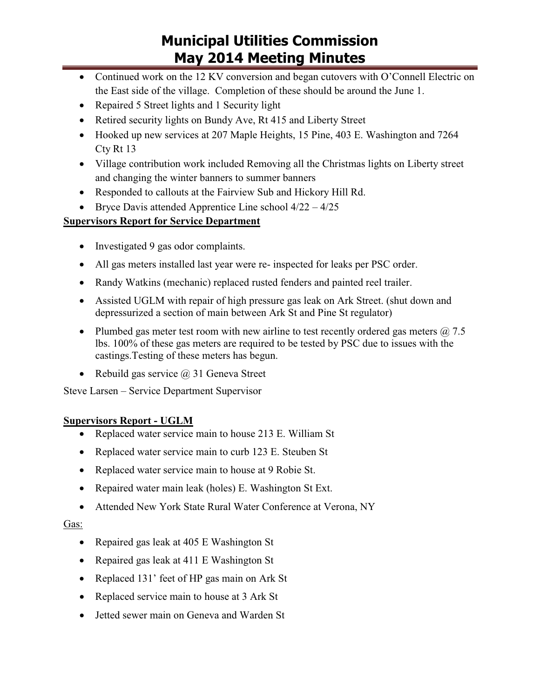- Continued work on the 12 KV conversion and began cutovers with O'Connell Electric on the East side of the village. Completion of these should be around the June 1.
- Repaired 5 Street lights and 1 Security light
- Retired security lights on Bundy Ave, Rt 415 and Liberty Street
- · Hooked up new services at 207 Maple Heights, 15 Pine, 403 E. Washington and 7264 Cty Rt 13
- · Village contribution work included Removing all the Christmas lights on Liberty street and changing the winter banners to summer banners
- · Responded to callouts at the Fairview Sub and Hickory Hill Rd.
- Bryce Davis attended Apprentice Line school  $4/22 4/25$

### **Supervisors Report for Service Department**

- Investigated 9 gas odor complaints.
- · All gas meters installed last year were re- inspected for leaks per PSC order.
- Randy Watkins (mechanic) replaced rusted fenders and painted reel trailer.
- · Assisted UGLM with repair of high pressure gas leak on Ark Street. (shut down and depressurized a section of main between Ark St and Pine St regulator)
- Plumbed gas meter test room with new airline to test recently ordered gas meters  $\omega$  7.5 lbs. 100% of these gas meters are required to be tested by PSC due to issues with the castings.Testing of these meters has begun.
- Rebuild gas service  $\omega$  31 Geneva Street

Steve Larsen – Service Department Supervisor

#### **Supervisors Report - UGLM**

- · Replaced water service main to house 213 E. William St
- Replaced water service main to curb 123 E. Steuben St
- Replaced water service main to house at 9 Robie St.
- Repaired water main leak (holes) E. Washington St Ext.
- · Attended New York State Rural Water Conference at Verona, NY

#### Gas:

- Repaired gas leak at 405 E Washington St
- Repaired gas leak at 411 E Washington St
- · Replaced 131' feet of HP gas main on Ark St
- Replaced service main to house at 3 Ark St
- · Jetted sewer main on Geneva and Warden St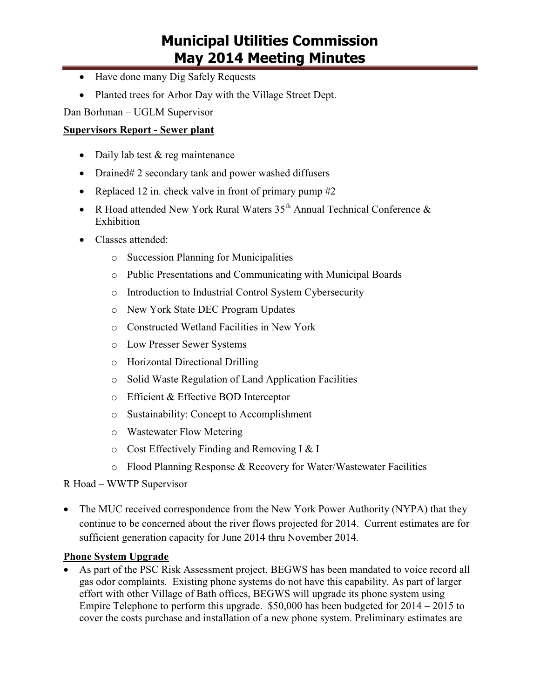- Have done many Dig Safely Requests
- Planted trees for Arbor Day with the Village Street Dept.

Dan Borhman – UGLM Supervisor

#### **Supervisors Report - Sewer plant**

- Daily lab test & reg maintenance
- Drained# 2 secondary tank and power washed diffusers
- Replaced 12 in. check valve in front of primary pump  $#2$
- R Hoad attended New York Rural Waters  $35<sup>th</sup>$  Annual Technical Conference  $\&$ Exhibition
- Classes attended:
	- o Succession Planning for Municipalities
	- o Public Presentations and Communicating with Municipal Boards
	- o Introduction to Industrial Control System Cybersecurity
	- o New York State DEC Program Updates
	- o Constructed Wetland Facilities in New York
	- o Low Presser Sewer Systems
	- o Horizontal Directional Drilling
	- o Solid Waste Regulation of Land Application Facilities
	- o Efficient & Effective BOD Interceptor
	- o Sustainability: Concept to Accomplishment
	- o Wastewater Flow Metering
	- o Cost Effectively Finding and Removing I & I
	- o Flood Planning Response & Recovery for Water/Wastewater Facilities

R Hoad – WWTP Supervisor

• The MUC received correspondence from the New York Power Authority (NYPA) that they continue to be concerned about the river flows projected for 2014. Current estimates are for sufficient generation capacity for June 2014 thru November 2014.

#### **Phone System Upgrade**

As part of the PSC Risk Assessment project, BEGWS has been mandated to voice record all gas odor complaints. Existing phone systems do not have this capability. As part of larger effort with other Village of Bath offices, BEGWS will upgrade its phone system using Empire Telephone to perform this upgrade. \$50,000 has been budgeted for 2014 – 2015 to cover the costs purchase and installation of a new phone system. Preliminary estimates are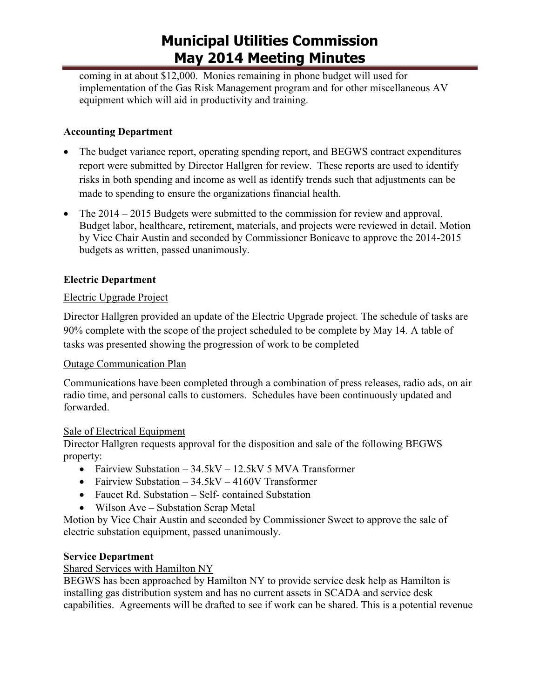coming in at about \$12,000. Monies remaining in phone budget will used for implementation of the Gas Risk Management program and for other miscellaneous AV equipment which will aid in productivity and training.

### **Accounting Department**

- The budget variance report, operating spending report, and BEGWS contract expenditures report were submitted by Director Hallgren for review. These reports are used to identify risks in both spending and income as well as identify trends such that adjustments can be made to spending to ensure the organizations financial health.
- The 2014 2015 Budgets were submitted to the commission for review and approval. Budget labor, healthcare, retirement, materials, and projects were reviewed in detail. Motion by Vice Chair Austin and seconded by Commissioner Bonicave to approve the 2014-2015 budgets as written, passed unanimously.

### **Electric Department**

#### Electric Upgrade Project

Director Hallgren provided an update of the Electric Upgrade project. The schedule of tasks are 90% complete with the scope of the project scheduled to be complete by May 14. A table of tasks was presented showing the progression of work to be completed

#### Outage Communication Plan

Communications have been completed through a combination of press releases, radio ads, on air radio time, and personal calls to customers. Schedules have been continuously updated and forwarded.

#### Sale of Electrical Equipment

Director Hallgren requests approval for the disposition and sale of the following BEGWS property:

- Fairview Substation  $-34.5$ kV 12.5kV 5 MVA Transformer
- Fairview Substation  $34.5kV 4160V$  Transformer
- Faucet Rd. Substation Self- contained Substation
- Wilson Ave Substation Scrap Metal

Motion by Vice Chair Austin and seconded by Commissioner Sweet to approve the sale of electric substation equipment, passed unanimously.

#### **Service Department**

#### Shared Services with Hamilton NY

BEGWS has been approached by Hamilton NY to provide service desk help as Hamilton is installing gas distribution system and has no current assets in SCADA and service desk capabilities. Agreements will be drafted to see if work can be shared. This is a potential revenue